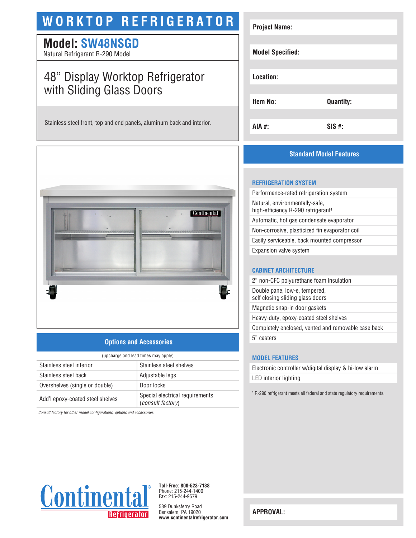# **WORKTOP REFRIGERATOR**

## **Model: SW48NSGD**

Natural Refrigerant R-290 Model

# 48" Display Worktop Refrigerator with Sliding Glass Doors

Stainless steel front, top and end panels, aluminum back and interior.



### **Options and Accessories**

| (upcharge and lead times may apply) |                                                             |  |
|-------------------------------------|-------------------------------------------------------------|--|
| Stainless steel interior            | Stainless steel shelves                                     |  |
| Stainless steel back                | Adjustable legs                                             |  |
| Overshelves (single or double)      | Door locks                                                  |  |
| Add'l epoxy-coated steel shelves    | Special electrical requirements<br><i>(consult factory)</i> |  |

*Consult factory for other model configurations, options and accessories.*

| <b>Project Name:</b>    |                  |
|-------------------------|------------------|
|                         |                  |
| <b>Model Specified:</b> |                  |
|                         |                  |
| Location:               |                  |
|                         |                  |
| <b>Item No:</b>         | <b>Quantity:</b> |
|                         |                  |
| AIA #:                  | $SIS$ #:         |
|                         |                  |

### **Standard Model Features**

#### **REFRIGERATION SYSTEM**

Performance-rated refrigeration system Natural, environmentally-safe, high-efficiency R-290 refrigerant<sup>1</sup> Automatic, hot gas condensate evaporator Non-corrosive, plasticized fin evaporator coil Easily serviceable, back mounted compressor Expansion valve system

#### **CABINET ARCHITECTURE**

2" non-CFC polyurethane foam insulation Double pane, low-e, tempered, self closing sliding glass doors Magnetic snap-in door gaskets Heavy-duty, epoxy-coated steel shelves

Completely enclosed, vented and removable case back

5" casters

#### **MODEL FEATURES**

Electronic controller w/digital display & hi-low alarm LED interior lighting

<sup>1</sup> R-290 refrigerant meets all federal and state regulatory requirements.



**Toll-Free: 800-523-7138** Phone: 215-244-1400 Fax: 215-244-9579

539 Dunksferry Road Bensalem, PA 19020 **www.continentalrefrigerator.com** 

**APPROVAL:**